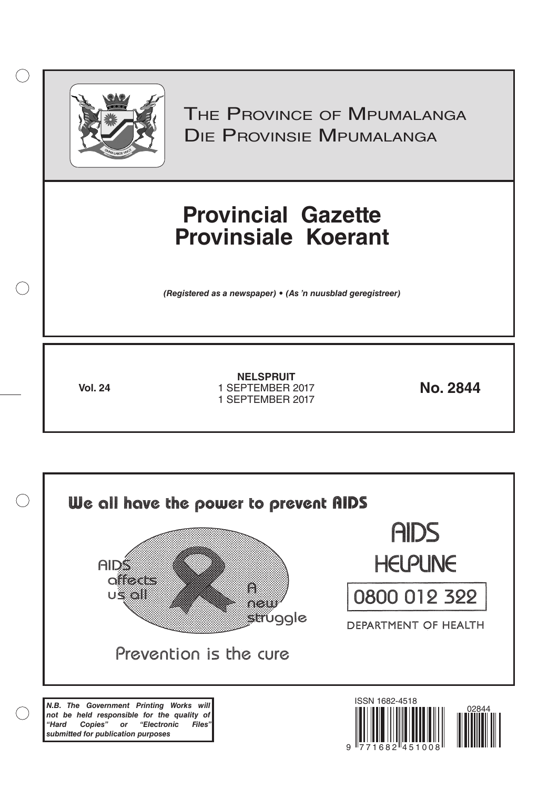

 $( )$ 

THE PROVINCE OF MPUMALANGA Die Provinsie Mpumalanga

# **Provincial Gazette Provinsiale Koerant**

*(Registered as a newspaper) • (As 'n nuusblad geregistreer)*

**Vol. 24 No. 2844** 1 SEPTEMBER 2017 **NELSPRUIT** 1 SEPTEMBER 2017

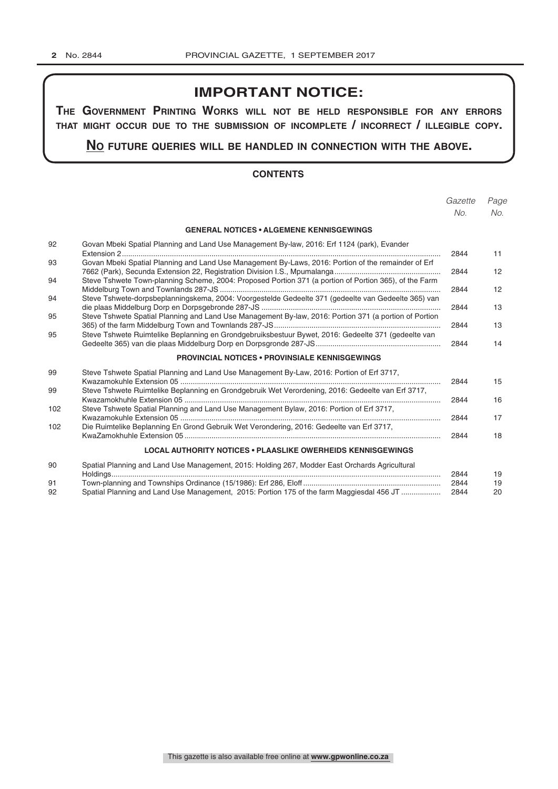# **IMPORTANT NOTICE:**

**The GovernmenT PrinTinG Works Will noT be held resPonsible for any errors ThaT miGhT occur due To The submission of incomPleTe / incorrecT / illeGible coPy.**

**no fuTure queries Will be handled in connecTion WiTh The above.**

### **CONTENTS**

|          |                                                                                                        | Gazette      | Page     |
|----------|--------------------------------------------------------------------------------------------------------|--------------|----------|
|          |                                                                                                        | No.          | No.      |
|          | <b>GENERAL NOTICES • ALGEMENE KENNISGEWINGS</b>                                                        |              |          |
| 92       | Govan Mbeki Spatial Planning and Land Use Management By-law, 2016: Erf 1124 (park), Evander            | 2844         | 11       |
| 93       | Govan Mbeki Spatial Planning and Land Use Management By-Laws, 2016: Portion of the remainder of Erf    | 2844         | 12       |
| 94       | Steve Tshwete Town-planning Scheme, 2004: Proposed Portion 371 (a portion of Portion 365), of the Farm | 2844         | 12       |
| 94       | Steve Tshwete-dorpsbeplanningskema, 2004: Voorgestelde Gedeelte 371 (gedeelte van Gedeelte 365) van    | 2844         | 13       |
| 95       | Steve Tshwete Spatial Planning and Land Use Management By-law, 2016: Portion 371 (a portion of Portion | 2844         | 13       |
| 95       | Steve Tshwete Ruimtelike Beplanning en Grondgebruiksbestuur Bywet, 2016: Gedeelte 371 (gedeelte van    | 2844         | 14       |
|          | <b>PROVINCIAL NOTICES • PROVINSIALE KENNISGEWINGS</b>                                                  |              |          |
| 99       | Steve Tshwete Spatial Planning and Land Use Management By-Law, 2016: Portion of Erf 3717,              | 2844         | 15       |
| 99       | Steve Tshwete Ruimtelike Beplanning en Grondgebruik Wet Verordening, 2016: Gedeelte van Erf 3717,      | 2844         | 16       |
| 102      | Steve Tshwete Spatial Planning and Land Use Management Bylaw, 2016: Portion of Erf 3717,               | 2844         | 17       |
| 102      | Die Ruimtelike Beplanning En Grond Gebruik Wet Verondering, 2016: Gedeelte van Erf 3717,               | 2844         | 18       |
|          | <b>LOCAL AUTHORITY NOTICES • PLAASLIKE OWERHEIDS KENNISGEWINGS</b>                                     |              |          |
| 90       | Spatial Planning and Land Use Management, 2015: Holding 267, Modder East Orchards Agricultural         | 2844         | 19       |
| 91<br>92 | Spatial Planning and Land Use Management, 2015: Portion 175 of the farm Maggiesdal 456 JT              | 2844<br>2844 | 19<br>20 |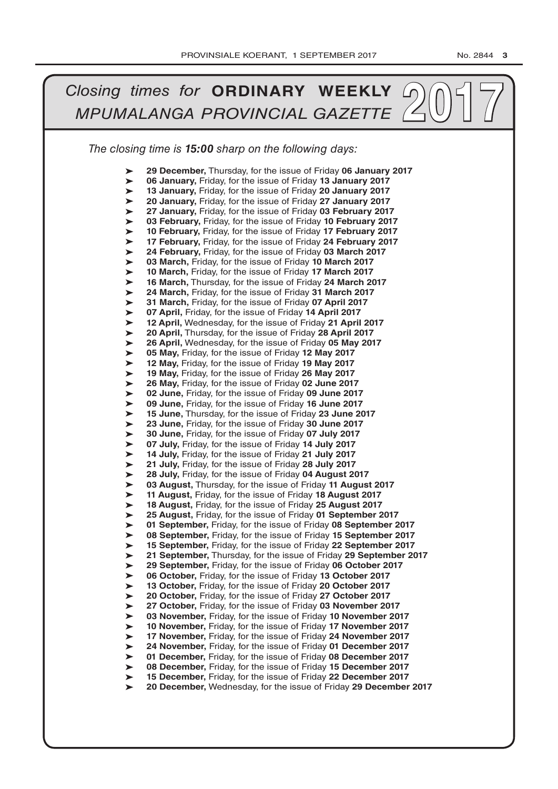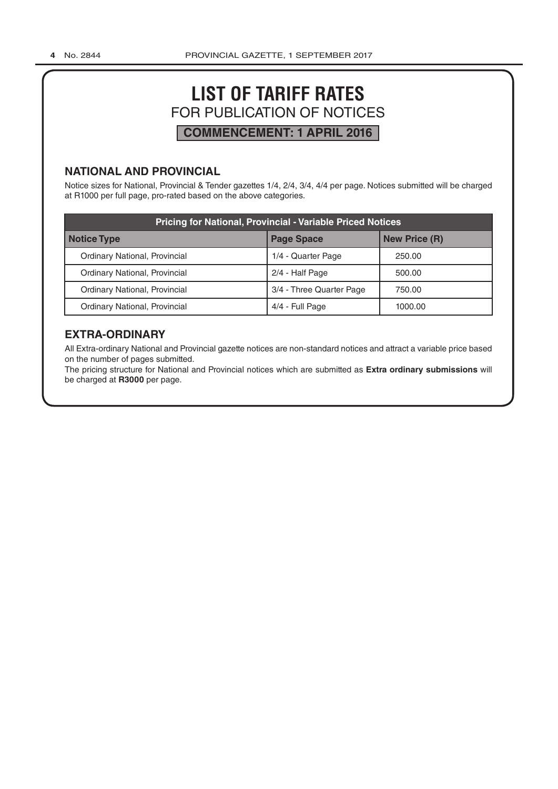# **LIST OF TARIFF RATES** FOR PUBLICATION OF NOTICES **COMMENCEMENT: 1 APRIL 2016**

# **NATIONAL AND PROVINCIAL**

Notice sizes for National, Provincial & Tender gazettes 1/4, 2/4, 3/4, 4/4 per page. Notices submitted will be charged at R1000 per full page, pro-rated based on the above categories.

| <b>Pricing for National, Provincial - Variable Priced Notices</b> |                          |                      |  |  |  |  |
|-------------------------------------------------------------------|--------------------------|----------------------|--|--|--|--|
| Notice Type                                                       | <b>Page Space</b>        | <b>New Price (R)</b> |  |  |  |  |
| Ordinary National, Provincial                                     | 1/4 - Quarter Page       | 250.00               |  |  |  |  |
| Ordinary National, Provincial                                     | 2/4 - Half Page          | 500.00               |  |  |  |  |
| Ordinary National, Provincial                                     | 3/4 - Three Quarter Page | 750.00               |  |  |  |  |
| Ordinary National, Provincial                                     | 4/4 - Full Page          | 1000.00              |  |  |  |  |

# **EXTRA-ORDINARY**

All Extra-ordinary National and Provincial gazette notices are non-standard notices and attract a variable price based on the number of pages submitted.

The pricing structure for National and Provincial notices which are submitted as **Extra ordinary submissions** will be charged at **R3000** per page.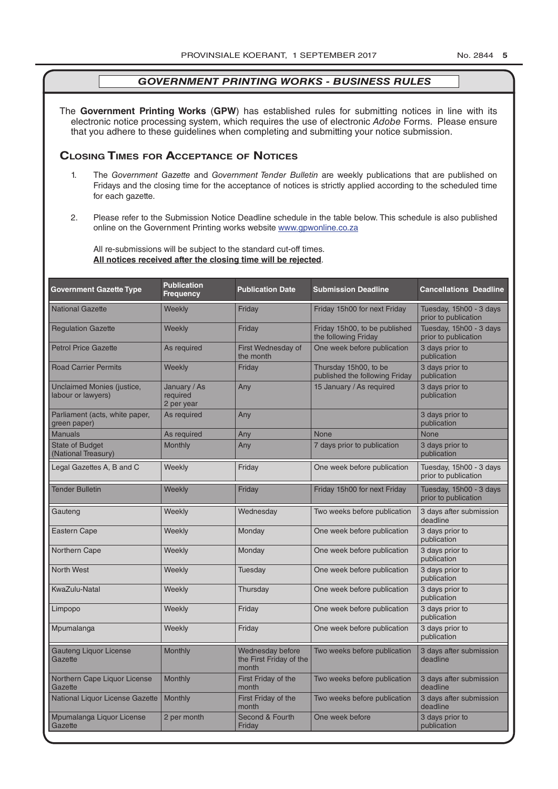The **Government Printing Works** (**GPW**) has established rules for submitting notices in line with its electronic notice processing system, which requires the use of electronic *Adobe* Forms. Please ensure that you adhere to these guidelines when completing and submitting your notice submission.

# **Closing Times for ACCepTAnCe of noTiCes**

- 1. The *Government Gazette* and *Government Tender Bulletin* are weekly publications that are published on Fridays and the closing time for the acceptance of notices is strictly applied according to the scheduled time for each gazette.
- 2. Please refer to the Submission Notice Deadline schedule in the table below. This schedule is also published online on the Government Printing works website www.gpwonline.co.za

All re-submissions will be subject to the standard cut-off times. **All notices received after the closing time will be rejected**.

| <b>Government Gazette Type</b>                   | <b>Publication</b><br><b>Frequency</b> | <b>Publication Date</b>                              | <b>Submission Deadline</b>                              | <b>Cancellations Deadline</b>                   |
|--------------------------------------------------|----------------------------------------|------------------------------------------------------|---------------------------------------------------------|-------------------------------------------------|
| <b>National Gazette</b>                          | Weekly                                 | Friday                                               | Friday 15h00 for next Friday                            | Tuesday, 15h00 - 3 days<br>prior to publication |
| <b>Regulation Gazette</b>                        | Weekly                                 | Friday                                               | Friday 15h00, to be published<br>the following Friday   | Tuesday, 15h00 - 3 days<br>prior to publication |
| <b>Petrol Price Gazette</b>                      | As required                            | First Wednesday of<br>the month                      | One week before publication                             | 3 days prior to<br>publication                  |
| <b>Road Carrier Permits</b>                      | Weekly                                 | Friday                                               | Thursday 15h00, to be<br>published the following Friday | 3 days prior to<br>publication                  |
| Unclaimed Monies (justice,<br>labour or lawyers) | January / As<br>required<br>2 per year | Any                                                  | 15 January / As required                                | 3 days prior to<br>publication                  |
| Parliament (acts, white paper,<br>green paper)   | As required                            | Any                                                  |                                                         | 3 days prior to<br>publication                  |
| <b>Manuals</b>                                   | As required                            | Any                                                  | <b>None</b>                                             | <b>None</b>                                     |
| <b>State of Budget</b><br>(National Treasury)    | <b>Monthly</b>                         | Any                                                  | 7 days prior to publication                             | 3 days prior to<br>publication                  |
| Legal Gazettes A, B and C                        | Weekly                                 | Friday                                               | One week before publication                             | Tuesday, 15h00 - 3 days<br>prior to publication |
| <b>Tender Bulletin</b>                           | Weekly                                 | Friday                                               | Friday 15h00 for next Friday                            | Tuesday, 15h00 - 3 days<br>prior to publication |
| Gauteng                                          | Weekly                                 | Wednesday                                            | Two weeks before publication                            | 3 days after submission<br>deadline             |
| <b>Eastern Cape</b>                              | Weekly                                 | Monday                                               | One week before publication                             | 3 days prior to<br>publication                  |
| Northern Cape                                    | Weekly                                 | Monday                                               | One week before publication                             | 3 days prior to<br>publication                  |
| <b>North West</b>                                | Weekly                                 | Tuesday                                              | One week before publication                             | 3 days prior to<br>publication                  |
| KwaZulu-Natal                                    | Weekly                                 | Thursday                                             | One week before publication                             | 3 days prior to<br>publication                  |
| Limpopo                                          | Weekly                                 | Friday                                               | One week before publication                             | 3 days prior to<br>publication                  |
| Mpumalanga                                       | Weekly                                 | Friday                                               | One week before publication                             | 3 days prior to<br>publication                  |
| <b>Gauteng Liquor License</b><br>Gazette         | Monthly                                | Wednesday before<br>the First Friday of the<br>month | Two weeks before publication                            | 3 days after submission<br>deadline             |
| Northern Cape Liquor License<br>Gazette          | Monthly                                | First Friday of the<br>month                         | Two weeks before publication                            | 3 days after submission<br>deadline             |
| National Liquor License Gazette                  | <b>Monthly</b>                         | First Friday of the<br>month                         | Two weeks before publication                            | 3 days after submission<br>deadline             |
| Mpumalanga Liquor License<br>Gazette             | 2 per month                            | Second & Fourth<br>Friday                            | One week before                                         | 3 days prior to<br>publication                  |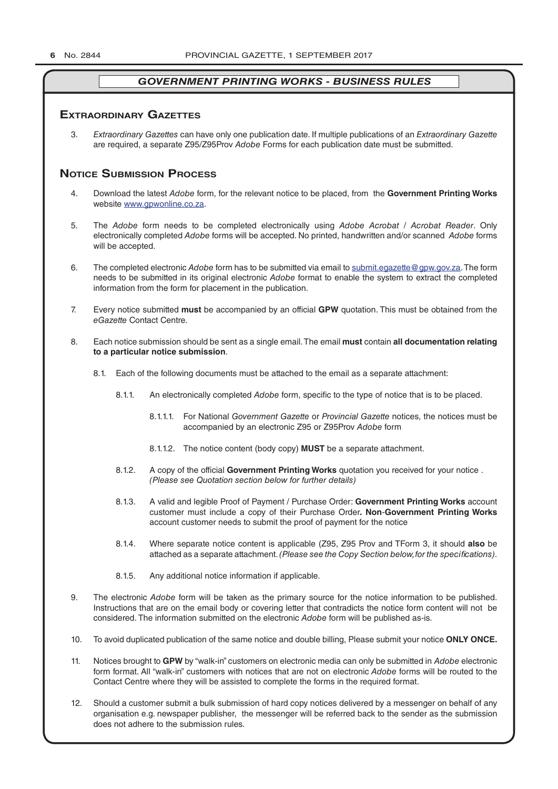#### **exTrAordinAry gAzeTTes**

3. *Extraordinary Gazettes* can have only one publication date. If multiple publications of an *Extraordinary Gazette* are required, a separate Z95/Z95Prov *Adobe* Forms for each publication date must be submitted.

#### **NOTICE SUBMISSION PROCESS**

- 4. Download the latest *Adobe* form, for the relevant notice to be placed, from the **Government Printing Works** website www.gpwonline.co.za.
- 5. The *Adobe* form needs to be completed electronically using *Adobe Acrobat* / *Acrobat Reader*. Only electronically completed *Adobe* forms will be accepted. No printed, handwritten and/or scanned *Adobe* forms will be accepted.
- 6. The completed electronic *Adobe* form has to be submitted via email to submit.egazette@gpw.gov.za. The form needs to be submitted in its original electronic *Adobe* format to enable the system to extract the completed information from the form for placement in the publication.
- 7. Every notice submitted **must** be accompanied by an official **GPW** quotation. This must be obtained from the *eGazette* Contact Centre.
- 8. Each notice submission should be sent as a single email. The email **must** contain **all documentation relating to a particular notice submission**.
	- 8.1. Each of the following documents must be attached to the email as a separate attachment:
		- 8.1.1. An electronically completed *Adobe* form, specific to the type of notice that is to be placed.
			- 8.1.1.1. For National *Government Gazette* or *Provincial Gazette* notices, the notices must be accompanied by an electronic Z95 or Z95Prov *Adobe* form
			- 8.1.1.2. The notice content (body copy) **MUST** be a separate attachment.
		- 8.1.2. A copy of the official **Government Printing Works** quotation you received for your notice . *(Please see Quotation section below for further details)*
		- 8.1.3. A valid and legible Proof of Payment / Purchase Order: **Government Printing Works** account customer must include a copy of their Purchase Order*.* **Non**-**Government Printing Works** account customer needs to submit the proof of payment for the notice
		- 8.1.4. Where separate notice content is applicable (Z95, Z95 Prov and TForm 3, it should **also** be attached as a separate attachment. *(Please see the Copy Section below, for the specifications)*.
		- 8.1.5. Any additional notice information if applicable.
- 9. The electronic *Adobe* form will be taken as the primary source for the notice information to be published. Instructions that are on the email body or covering letter that contradicts the notice form content will not be considered. The information submitted on the electronic *Adobe* form will be published as-is.
- 10. To avoid duplicated publication of the same notice and double billing, Please submit your notice **ONLY ONCE.**
- 11. Notices brought to **GPW** by "walk-in" customers on electronic media can only be submitted in *Adobe* electronic form format. All "walk-in" customers with notices that are not on electronic *Adobe* forms will be routed to the Contact Centre where they will be assisted to complete the forms in the required format.
- 12. Should a customer submit a bulk submission of hard copy notices delivered by a messenger on behalf of any organisation e.g. newspaper publisher, the messenger will be referred back to the sender as the submission does not adhere to the submission rules.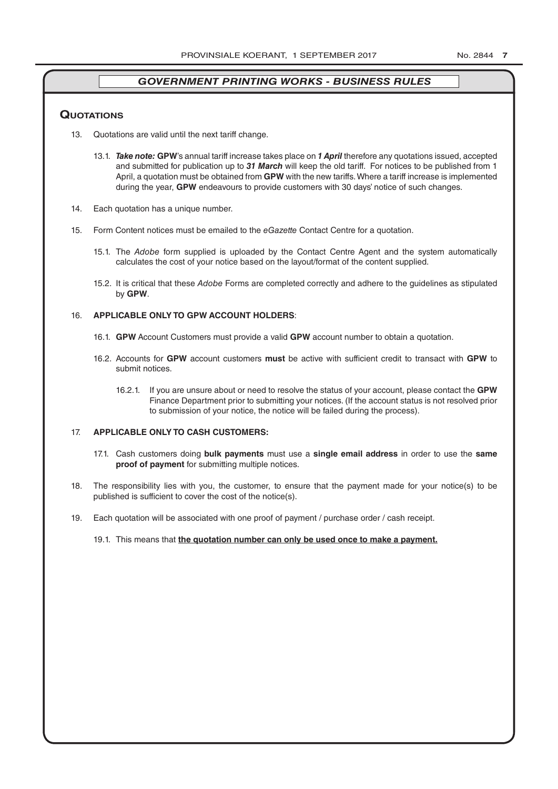#### **QuoTATions**

- 13. Quotations are valid until the next tariff change.
	- 13.1. *Take note:* **GPW**'s annual tariff increase takes place on *1 April* therefore any quotations issued, accepted and submitted for publication up to *31 March* will keep the old tariff. For notices to be published from 1 April, a quotation must be obtained from **GPW** with the new tariffs. Where a tariff increase is implemented during the year, **GPW** endeavours to provide customers with 30 days' notice of such changes.
- 14. Each quotation has a unique number.
- 15. Form Content notices must be emailed to the *eGazette* Contact Centre for a quotation.
	- 15.1. The *Adobe* form supplied is uploaded by the Contact Centre Agent and the system automatically calculates the cost of your notice based on the layout/format of the content supplied.
	- 15.2. It is critical that these *Adobe* Forms are completed correctly and adhere to the guidelines as stipulated by **GPW**.

#### 16. **APPLICABLE ONLY TO GPW ACCOUNT HOLDERS**:

- 16.1. **GPW** Account Customers must provide a valid **GPW** account number to obtain a quotation.
- 16.2. Accounts for **GPW** account customers **must** be active with sufficient credit to transact with **GPW** to submit notices.
	- 16.2.1. If you are unsure about or need to resolve the status of your account, please contact the **GPW** Finance Department prior to submitting your notices. (If the account status is not resolved prior to submission of your notice, the notice will be failed during the process).

#### 17. **APPLICABLE ONLY TO CASH CUSTOMERS:**

- 17.1. Cash customers doing **bulk payments** must use a **single email address** in order to use the **same proof of payment** for submitting multiple notices.
- 18. The responsibility lies with you, the customer, to ensure that the payment made for your notice(s) to be published is sufficient to cover the cost of the notice(s).
- 19. Each quotation will be associated with one proof of payment / purchase order / cash receipt.
	- 19.1. This means that **the quotation number can only be used once to make a payment.**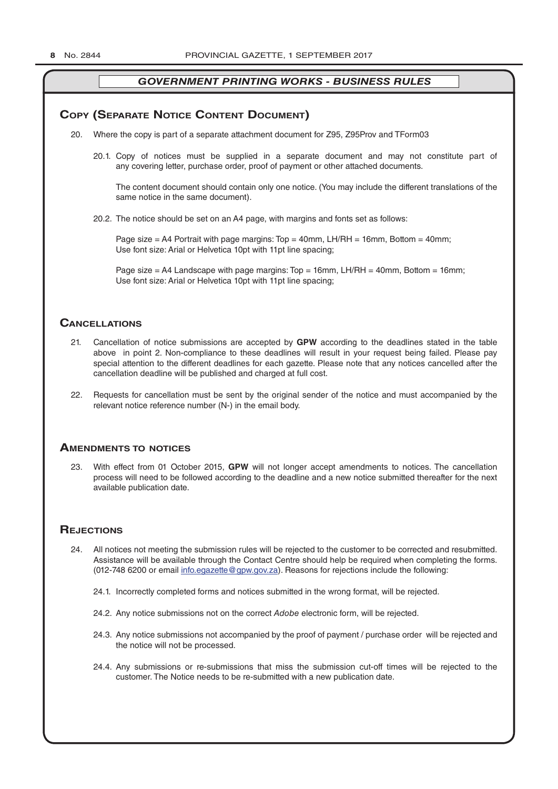#### **COPY (SEPARATE NOTICE CONTENT DOCUMENT)**

- 20. Where the copy is part of a separate attachment document for Z95, Z95Prov and TForm03
	- 20.1. Copy of notices must be supplied in a separate document and may not constitute part of any covering letter, purchase order, proof of payment or other attached documents.

The content document should contain only one notice. (You may include the different translations of the same notice in the same document).

20.2. The notice should be set on an A4 page, with margins and fonts set as follows:

Page size  $=$  A4 Portrait with page margins: Top  $=$  40mm, LH/RH  $=$  16mm, Bottom  $=$  40mm; Use font size: Arial or Helvetica 10pt with 11pt line spacing;

Page size = A4 Landscape with page margins: Top = 16mm, LH/RH = 40mm, Bottom = 16mm; Use font size: Arial or Helvetica 10pt with 11pt line spacing;

#### **CAnCellATions**

- 21. Cancellation of notice submissions are accepted by **GPW** according to the deadlines stated in the table above in point 2. Non-compliance to these deadlines will result in your request being failed. Please pay special attention to the different deadlines for each gazette. Please note that any notices cancelled after the cancellation deadline will be published and charged at full cost.
- 22. Requests for cancellation must be sent by the original sender of the notice and must accompanied by the relevant notice reference number (N-) in the email body.

#### **AmendmenTs To noTiCes**

23. With effect from 01 October 2015, **GPW** will not longer accept amendments to notices. The cancellation process will need to be followed according to the deadline and a new notice submitted thereafter for the next available publication date.

# **REJECTIONS**

- 24. All notices not meeting the submission rules will be rejected to the customer to be corrected and resubmitted. Assistance will be available through the Contact Centre should help be required when completing the forms. (012-748 6200 or email info.egazette@gpw.gov.za). Reasons for rejections include the following:
	- 24.1. Incorrectly completed forms and notices submitted in the wrong format, will be rejected.
	- 24.2. Any notice submissions not on the correct *Adobe* electronic form, will be rejected.
	- 24.3. Any notice submissions not accompanied by the proof of payment / purchase order will be rejected and the notice will not be processed.
	- 24.4. Any submissions or re-submissions that miss the submission cut-off times will be rejected to the customer. The Notice needs to be re-submitted with a new publication date.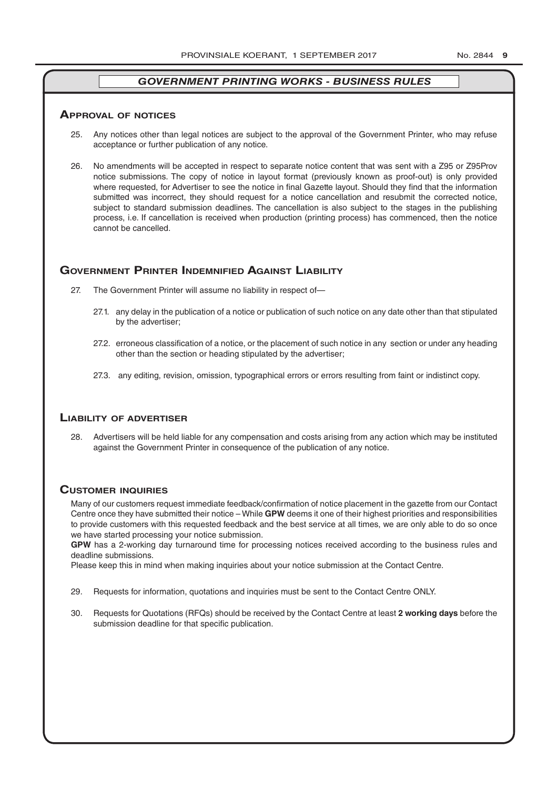#### **ApprovAl of noTiCes**

- 25. Any notices other than legal notices are subject to the approval of the Government Printer, who may refuse acceptance or further publication of any notice.
- 26. No amendments will be accepted in respect to separate notice content that was sent with a Z95 or Z95Prov notice submissions. The copy of notice in layout format (previously known as proof-out) is only provided where requested, for Advertiser to see the notice in final Gazette layout. Should they find that the information submitted was incorrect, they should request for a notice cancellation and resubmit the corrected notice, subject to standard submission deadlines. The cancellation is also subject to the stages in the publishing process, i.e. If cancellation is received when production (printing process) has commenced, then the notice cannot be cancelled.

#### **governmenT prinTer indemnified AgAinsT liAbiliTy**

- 27. The Government Printer will assume no liability in respect of—
	- 27.1. any delay in the publication of a notice or publication of such notice on any date other than that stipulated by the advertiser;
	- 27.2. erroneous classification of a notice, or the placement of such notice in any section or under any heading other than the section or heading stipulated by the advertiser;
	- 27.3. any editing, revision, omission, typographical errors or errors resulting from faint or indistinct copy.

#### **liAbiliTy of AdverTiser**

28. Advertisers will be held liable for any compensation and costs arising from any action which may be instituted against the Government Printer in consequence of the publication of any notice.

#### **CusTomer inQuiries**

Many of our customers request immediate feedback/confirmation of notice placement in the gazette from our Contact Centre once they have submitted their notice – While **GPW** deems it one of their highest priorities and responsibilities to provide customers with this requested feedback and the best service at all times, we are only able to do so once we have started processing your notice submission.

**GPW** has a 2-working day turnaround time for processing notices received according to the business rules and deadline submissions.

Please keep this in mind when making inquiries about your notice submission at the Contact Centre.

- 29. Requests for information, quotations and inquiries must be sent to the Contact Centre ONLY.
- 30. Requests for Quotations (RFQs) should be received by the Contact Centre at least **2 working days** before the submission deadline for that specific publication.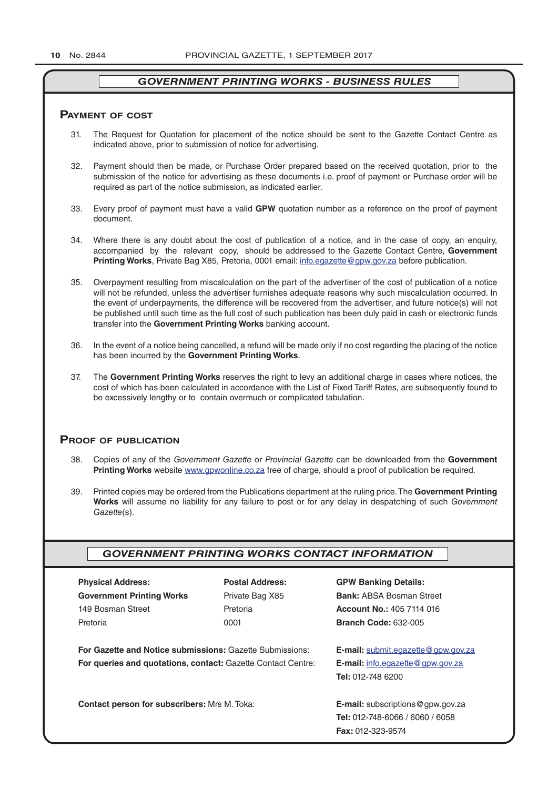#### **pAymenT of CosT**

- 31. The Request for Quotation for placement of the notice should be sent to the Gazette Contact Centre as indicated above, prior to submission of notice for advertising.
- 32. Payment should then be made, or Purchase Order prepared based on the received quotation, prior to the submission of the notice for advertising as these documents i.e. proof of payment or Purchase order will be required as part of the notice submission, as indicated earlier.
- 33. Every proof of payment must have a valid **GPW** quotation number as a reference on the proof of payment document.
- 34. Where there is any doubt about the cost of publication of a notice, and in the case of copy, an enquiry, accompanied by the relevant copy, should be addressed to the Gazette Contact Centre, **Government Printing Works**, Private Bag X85, Pretoria, 0001 email: info.egazette@gpw.gov.za before publication.
- 35. Overpayment resulting from miscalculation on the part of the advertiser of the cost of publication of a notice will not be refunded, unless the advertiser furnishes adequate reasons why such miscalculation occurred. In the event of underpayments, the difference will be recovered from the advertiser, and future notice(s) will not be published until such time as the full cost of such publication has been duly paid in cash or electronic funds transfer into the **Government Printing Works** banking account.
- 36. In the event of a notice being cancelled, a refund will be made only if no cost regarding the placing of the notice has been incurred by the **Government Printing Works**.
- 37. The **Government Printing Works** reserves the right to levy an additional charge in cases where notices, the cost of which has been calculated in accordance with the List of Fixed Tariff Rates, are subsequently found to be excessively lengthy or to contain overmuch or complicated tabulation.

# **proof of publiCATion**

- 38. Copies of any of the *Government Gazette* or *Provincial Gazette* can be downloaded from the **Government Printing Works** website www.gpwonline.co.za free of charge, should a proof of publication be required.
- 39. Printed copies may be ordered from the Publications department at the ruling price. The **Government Printing Works** will assume no liability for any failure to post or for any delay in despatching of such *Government Gazette*(s).

#### *GOVERNMENT PRINTING WORKS CONTACT INFORMATION*

| <b>Physical Address:</b>                                 | <b>Postal Address:</b>                                              | <b>GPW Banking Details:</b>               |
|----------------------------------------------------------|---------------------------------------------------------------------|-------------------------------------------|
| <b>Government Printing Works</b>                         | Private Bag X85                                                     | <b>Bank: ABSA Bosman Street</b>           |
| 149 Bosman Street                                        | Pretoria                                                            | <b>Account No.: 405 7114 016</b>          |
| Pretoria                                                 | 0001                                                                | <b>Branch Code: 632-005</b>               |
| For Gazette and Notice submissions: Gazette Submissions: |                                                                     | <b>E-mail:</b> submit.eqazette@gpw.gov.za |
|                                                          | <b>For queries and quotations, contact: Gazette Contact Centre:</b> |                                           |
|                                                          |                                                                     | <b>Tel: 012-748 6200</b>                  |
| <b>Contact person for subscribers: Mrs M. Toka:</b>      | <b>E-mail:</b> subscriptions $@$ gpw.gov.za                         |                                           |
|                                                          |                                                                     | <b>Tel: 012-748-6066 / 6060 / 6058</b>    |
|                                                          |                                                                     | Fax: 012-323-9574                         |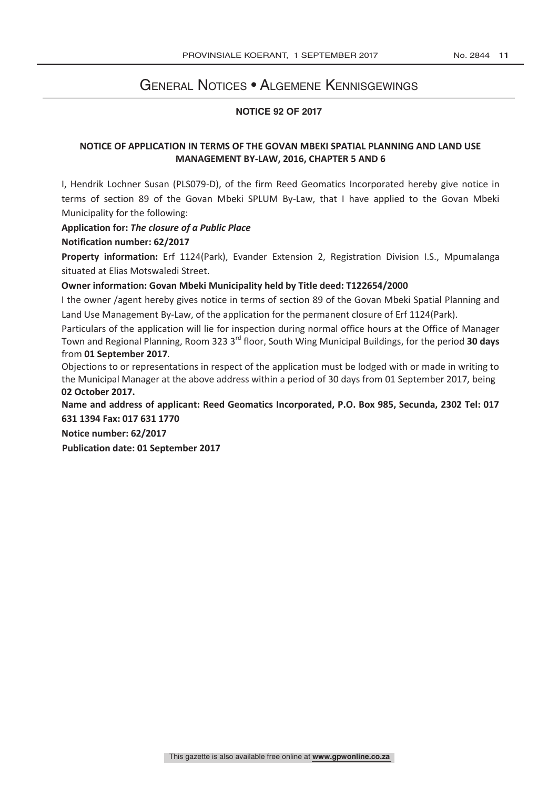# General Notices • Algemene Kennisgewings

# **NOTICE 92 OF 2017**

# **NOTICE OF APPLICATION IN TERMS OF THE GOVAN MBEKI SPATIAL PLANNING AND LAND USE MANAGEMENT BY-LAW, 2016, CHAPTER 5 AND 6**

I, Hendrik Lochner Susan (PLS079-D), of the firm Reed Geomatics Incorporated hereby give notice in terms of section 89 of the Govan Mbeki SPLUM By-Law, that I have applied to the Govan Mbeki Municipality for the following:

**Application for:** *The closure of a Public Place*

**Notification number: 62/2017**

**Property information:** Erf 1124(Park), Evander Extension 2, Registration Division I.S., Mpumalanga situated at Elias Motswaledi Street.

# **Owner information: Govan Mbeki Municipality held by Title deed: T122654/2000**

I the owner /agent hereby gives notice in terms of section 89 of the Govan Mbeki Spatial Planning and Land Use Management By-Law, of the application for the permanent closure of Erf 1124(Park).

Particulars of the application will lie for inspection during normal office hours at the Office of Manager Town and Regional Planning, Room 323 3<sup>rd</sup> floor, South Wing Municipal Buildings, for the period 30 days from **01 September 2017***.*

Objections to or representations in respect of the application must be lodged with or made in writing to the Municipal Manager at the above address within a period of 30 days from 01 September 2017*,* being **02 October 2017.**

**Name and address of applicant: Reed Geomatics Incorporated, P.O. Box 985, Secunda, 2302 Tel: 017 631 1394 Fax: 017 631 1770**

**Notice number: 62/2017**

**Publication date: 01 September 2017**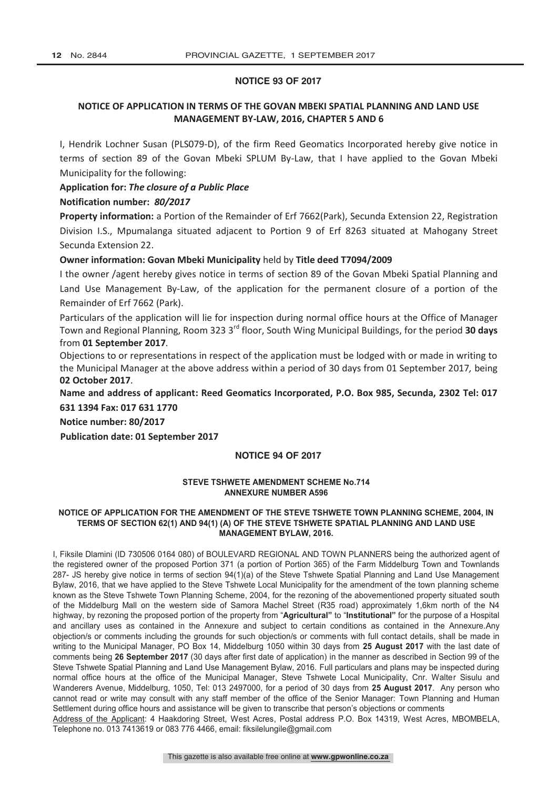#### **NOTICE 93 OF 2017**

# **NOTICE OF APPLICATION IN TERMS OF THE GOVAN MBEKI SPATIAL PLANNING AND LAND USE MANAGEMENT BY-LAW, 2016, CHAPTER 5 AND 6**

I, Hendrik Lochner Susan (PLS079-D), of the firm Reed Geomatics Incorporated hereby give notice in terms of section 89 of the Govan Mbeki SPLUM By-Law, that I have applied to the Govan Mbeki Municipality for the following:

**Application for:** *The closure of a Public Place*

#### **Notification number:** *80/2017*

**Property information:** a Portion of the Remainder of Erf 7662(Park), Secunda Extension 22, Registration Division I.S., Mpumalanga situated adjacent to Portion 9 of Erf 8263 situated at Mahogany Street Secunda Extension 22.

#### **Owner information: Govan Mbeki Municipality** held by **Title deed T7094/2009**

I the owner /agent hereby gives notice in terms of section 89 of the Govan Mbeki Spatial Planning and Land Use Management By-Law, of the application for the permanent closure of a portion of the Remainder of Erf 7662 (Park).

Particulars of the application will lie for inspection during normal office hours at the Office of Manager Town and Regional Planning, Room 323 3<sup>rd</sup> floor, South Wing Municipal Buildings, for the period 30 days from **01 September 2017***.*

Objections to or representations in respect of the application must be lodged with or made in writing to the Municipal Manager at the above address within a period of 30 days from 01 September 2017*,* being **02 October 2017***.*

**Name and address of applicant: Reed Geomatics Incorporated, P.O. Box 985, Secunda, 2302 Tel: 017** 

**631 1394 Fax: 017 631 1770**

**Notice number: 80/2017**

**Publication date: 01 September 2017**

#### **NOTICE 94 OF 2017**

#### **STEVE TSHWETE AMENDMENT SCHEME No.714 ANNEXURE NUMBER A596**

#### **NOTICE OF APPLICATION FOR THE AMENDMENT OF THE STEVE TSHWETE TOWN PLANNING SCHEME, 2004, IN TERMS OF SECTION 62(1) AND 94(1) (A) OF THE STEVE TSHWETE SPATIAL PLANNING AND LAND USE MANAGEMENT BYLAW, 2016.**

I, Fiksile Dlamini (ID 730506 0164 080) of BOULEVARD REGIONAL AND TOWN PLANNERS being the authorized agent of the registered owner of the proposed Portion 371 (a portion of Portion 365) of the Farm Middelburg Town and Townlands 287- JS hereby give notice in terms of section 94(1)(a) of the Steve Tshwete Spatial Planning and Land Use Management Bylaw, 2016, that we have applied to the Steve Tshwete Local Municipality for the amendment of the town planning scheme known as the Steve Tshwete Town Planning Scheme, 2004, for the rezoning of the abovementioned property situated south of the Middelburg Mall on the western side of Samora Machel Street (R35 road) approximately 1,6km north of the N4 highway, by rezoning the proposed portion of the property from "**Agricultural"** to "**Institutional"** for the purpose of a Hospital and ancillary uses as contained in the Annexure and subject to certain conditions as contained in the Annexure.Any objection/s or comments including the grounds for such objection/s or comments with full contact details, shall be made in writing to the Municipal Manager, PO Box 14, Middelburg 1050 within 30 days from **25 August 2017** with the last date of comments being **26 September 2017** (30 days after first date of application) in the manner as described in Section 99 of the Steve Tshwete Spatial Planning and Land Use Management Bylaw, 2016. Full particulars and plans may be inspected during normal office hours at the office of the Municipal Manager, Steve Tshwete Local Municipality, Cnr. Walter Sisulu and Wanderers Avenue, Middelburg, 1050, Tel: 013 2497000, for a period of 30 days from **25 August 2017**. Any person who cannot read or write may consult with any staff member of the office of the Senior Manager: Town Planning and Human Settlement during office hours and assistance will be given to transcribe that person's objections or comments Address of the Applicant: 4 Haakdoring Street, West Acres, Postal address P.O. Box 14319, West Acres, MBOMBELA,

Telephone no. 013 7413619 or 083 776 4466, email: fiksilelungile@gmail.com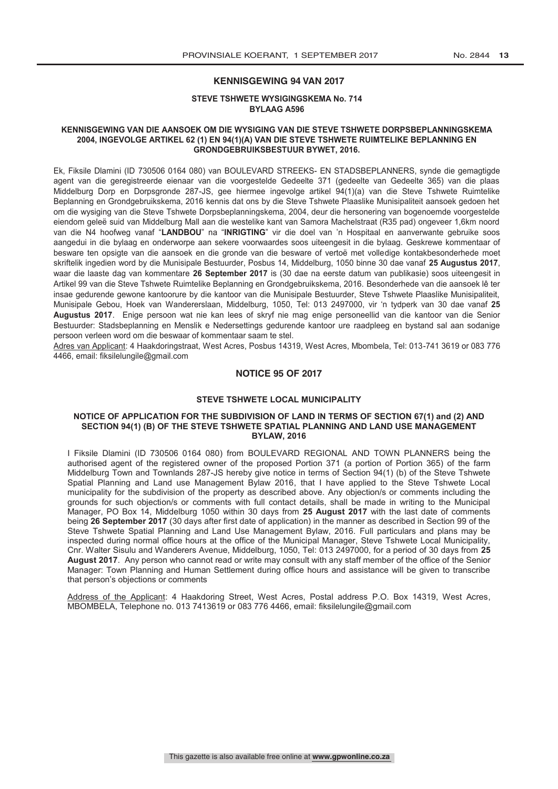#### **KENNISGEWING 94 VAN 2017**

#### **STEVE TSHWETE WYSIGINGSKEMA No. 714 BYLAAG A596**

#### **KENNISGEWING VAN DIE AANSOEK OM DIE WYSIGING VAN DIE STEVE TSHWETE DORPSBEPLANNINGSKEMA 2004, INGEVOLGE ARTIKEL 62 (1) EN 94(1)(A) VAN DIE STEVE TSHWETE RUIMTELIKE BEPLANNING EN GRONDGEBRUIKSBESTUUR BYWET, 2016.**

Ek, Fiksile Dlamini (ID 730506 0164 080) van BOULEVARD STREEKS- EN STADSBEPLANNERS, synde die gemagtigde agent van die geregistreerde eienaar van die voorgestelde Gedeelte 371 (gedeelte van Gedeelte 365) van die plaas Middelburg Dorp en Dorpsgronde 287-JS, gee hiermee ingevolge artikel 94(1)(a) van die Steve Tshwete Ruimtelike Beplanning en Grondgebruikskema, 2016 kennis dat ons by die Steve Tshwete Plaaslike Munisipaliteit aansoek gedoen het om die wysiging van die Steve Tshwete Dorpsbeplanningskema, 2004, deur die hersonering van bogenoemde voorgestelde eiendom geleë suid van Middelburg Mall aan die westelike kant van Samora Machelstraat (R35 pad) ongeveer 1,6km noord van die N4 hoofweg vanaf "**LANDBOU**" na "**INRIGTING**" vir die doel van 'n Hospitaal en aanverwante gebruike soos aangedui in die bylaag en onderworpe aan sekere voorwaardes soos uiteengesit in die bylaag. Geskrewe kommentaar of besware ten opsigte van die aansoek en die gronde van die besware of vertoë met volledige kontakbesonderhede moet skriftelik ingedien word by die Munisipale Bestuurder, Posbus 14, Middelburg, 1050 binne 30 dae vanaf **25 Augustus 2017**, waar die laaste dag van kommentare **26 September 2017** is (30 dae na eerste datum van publikasie) soos uiteengesit in Artikel 99 van die Steve Tshwete Ruimtelike Beplanning en Grondgebruikskema, 2016. Besonderhede van die aansoek lê ter insae gedurende gewone kantoorure by die kantoor van die Munisipale Bestuurder, Steve Tshwete Plaaslike Munisipaliteit, Munisipale Gebou, Hoek van Wandererslaan, Middelburg, 1050, Tel: 013 2497000, vir 'n tydperk van 30 dae vanaf **25 Augustus 2017**. Enige persoon wat nie kan lees of skryf nie mag enige personeellid van die kantoor van die Senior Bestuurder: Stadsbeplanning en Menslik e Nedersettings gedurende kantoor ure raadpleeg en bystand sal aan sodanige persoon verleen word om die beswaar of kommentaar saam te stel.

Adres van Applicant: 4 Haakdoringstraat, West Acres, Posbus 14319, West Acres, Mbombela, Tel: 013-741 3619 or 083 776 4466, email: fiksilelungile@gmail.com

#### **NOTICE 95 OF 2017**

#### **STEVE TSHWETE LOCAL MUNICIPALITY**

#### **NOTICE OF APPLICATION FOR THE SUBDIVISION OF LAND IN TERMS OF SECTION 67(1) and (2) AND SECTION 94(1) (B) OF THE STEVE TSHWETE SPATIAL PLANNING AND LAND USE MANAGEMENT BYLAW, 2016**

I Fiksile Dlamini (ID 730506 0164 080) from BOULEVARD REGIONAL AND TOWN PLANNERS being the authorised agent of the registered owner of the proposed Portion 371 (a portion of Portion 365) of the farm Middelburg Town and Townlands 287-JS hereby give notice in terms of Section 94(1) (b) of the Steve Tshwete Spatial Planning and Land use Management Bylaw 2016, that I have applied to the Steve Tshwete Local municipality for the subdivision of the property as described above. Any objection/s or comments including the grounds for such objection/s or comments with full contact details, shall be made in writing to the Municipal Manager, PO Box 14, Middelburg 1050 within 30 days from **25 August 2017** with the last date of comments being **26 September 2017** (30 days after first date of application) in the manner as described in Section 99 of the Steve Tshwete Spatial Planning and Land Use Management Bylaw, 2016. Full particulars and plans may be inspected during normal office hours at the office of the Municipal Manager, Steve Tshwete Local Municipality, Cnr. Walter Sisulu and Wanderers Avenue, Middelburg, 1050, Tel: 013 2497000, for a period of 30 days from **25 August 2017**. Any person who cannot read or write may consult with any staff member of the office of the Senior Manager: Town Planning and Human Settlement during office hours and assistance will be given to transcribe that person's objections or comments

Address of the Applicant: 4 Haakdoring Street, West Acres, Postal address P.O. Box 14319, West Acres, MBOMBELA, Telephone no. 013 7413619 or 083 776 4466, email: fiksilelungile@gmail.com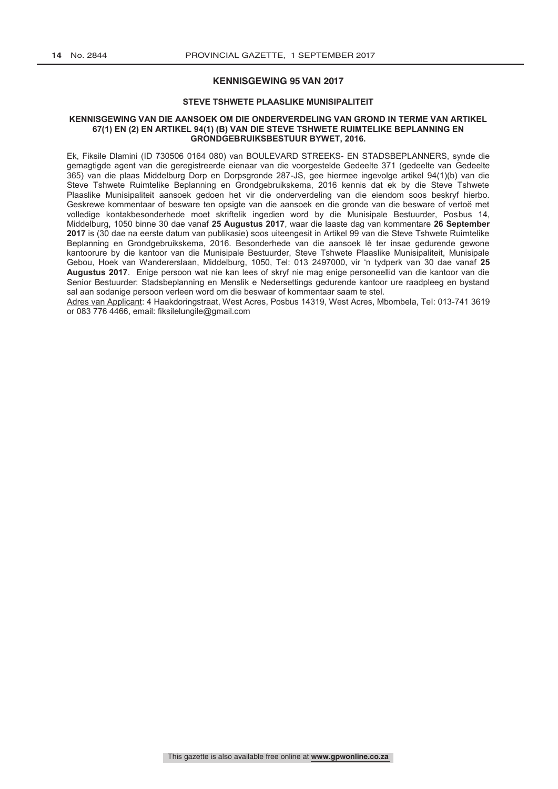#### **KENNISGEWING 95 VAN 2017<br>
Address of the Applicant: 4 Haakons** P.O. Box 14319, West Acres, P.O. Box 14319, West Acres, Postal and Acres, P **MENNISGEWING 33 YAN ZUTT**

#### **STEVE TSHWETE PLAASLIKE MUNISIPALITEIT**

#### **KENNISGEWING VAN DIE AANSOEK OM DIE ONDERVERDELING VAN GROND IN TERME VAN ARTIKEL 67(1) EN (2) EN ARTIKEL 94(1) (B) VAN DIE STEVE TSHWETE RUIMTELIKE BEPLANNING EN GRONDGEBRUIKSBESTUUR BYWET, 2016.**

Ek, Fiksile Dlamini (ID 730506 0164 080) van BOULEVARD STREEKS- EN STADSBEPLANNERS, synde die gemagtigde agent van die geregistreerde eienaar van die voorgestelde Gedeelte 371 (gedeelte van Gedeelte 365) van die plaas Middelburg Dorp en Dorpsgronde 287-JS, gee hiermee ingevolge artikel 94(1)(b) van die Steve Tshwete Ruimtelike Beplanning en Grondgebruikskema, 2016 kennis dat ek by die Steve Tshwete Plaaslike Munisipaliteit aansoek gedoen het vir die onderverdeling van die eiendom soos beskryf hierbo. Geskrewe kommentaar of besware ten opsigte van die aansoek en die gronde van die besware of vertoë met volledige kontakbesonderhede moet skriftelik ingedien word by die Munisipale Bestuurder, Posbus 14, Middelburg, 1050 binne 30 dae vanaf **25 Augustus 2017**, waar die laaste dag van kommentare **26 September 2017** is (30 dae na eerste datum van publikasie) soos uiteengesit in Artikel 99 van die Steve Tshwete Ruimtelike Beplanning en Grondgebruikskema, 2016. Besonderhede van die aansoek lê ter insae gedurende gewone kantoorure by die kantoor van die Munisipale Bestuurder, Steve Tshwete Plaaslike Munisipaliteit, Munisipale Gebou, Hoek van Wandererslaan, Middelburg, 1050, Tel: 013 2497000, vir 'n tydperk van 30 dae vanaf **25 Augustus 2017**. Enige persoon wat nie kan lees of skryf nie mag enige personeellid van die kantoor van die Senior Bestuurder: Stadsbeplanning en Menslik e Nedersettings gedurende kantoor ure raadpleeg en bystand sal aan sodanige persoon verleen word om die beswaar of kommentaar saam te stel.

Adres van Applicant: 4 Haakdoringstraat, West Acres, Posbus 14319, West Acres, Mbombela, Tel: 013-741 3619 or 083 776 4466, email: fiksilelungile@gmail.com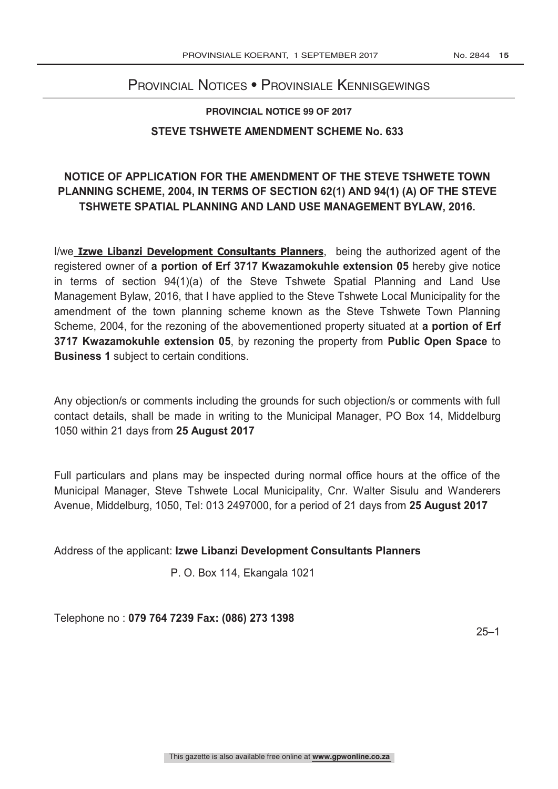# Provincial Notices • Provinsiale Kennisgewings

# **PROVINCIAL NOTICE 99 OF 2017**

# **STEVE TSHWETE AMENDMENT SCHEME No. 633**

# **NOTICE OF APPLICATION FOR THE AMENDMENT OF THE STEVE TSHWETE TOWN PLANNING SCHEME, 2004, IN TERMS OF SECTION 62(1) AND 94(1) (A) OF THE STEVE TSHWETE SPATIAL PLANNING AND LAND USE MANAGEMENT BYLAW, 2016.**

I/we **Izwe Libanzi Development Consultants Planners**, being the authorized agent of the registered owner of **a portion of Erf 3717 Kwazamokuhle extension 05** hereby give notice in terms of section 94(1)(a) of the Steve Tshwete Spatial Planning and Land Use Management Bylaw, 2016, that I have applied to the Steve Tshwete Local Municipality for the amendment of the town planning scheme known as the Steve Tshwete Town Planning Scheme, 2004, for the rezoning of the abovementioned property situated at **a portion of Erf 3717 Kwazamokuhle extension 05**, by rezoning the property from **Public Open Space** to **Business 1** subject to certain conditions.

Any objection/s or comments including the grounds for such objection/s or comments with full contact details, shall be made in writing to the Municipal Manager, PO Box 14, Middelburg 1050 within 21 days from **25 August 2017**

Full particulars and plans may be inspected during normal office hours at the office of the Municipal Manager, Steve Tshwete Local Municipality, Cnr. Walter Sisulu and Wanderers Avenue, Middelburg, 1050, Tel: 013 2497000, for a period of 21 days from **25 August 2017**

# Address of the applicant: **Izwe Libanzi Development Consultants Planners**

P. O. Box 114, Ekangala 1021

Telephone no : **079 764 7239 Fax: (086) 273 1398**

25–1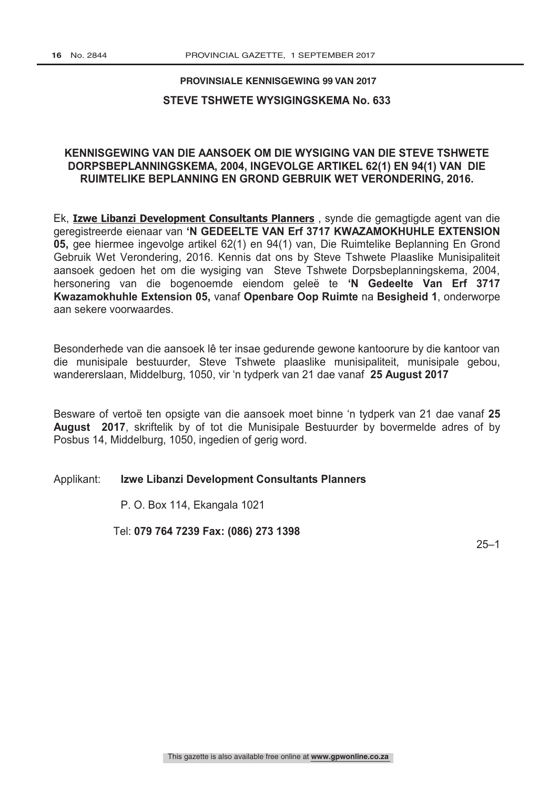#### **PROVINSIALE KENNISGEWING 99 VAN 2017**

### **STEVE TSHWETE WYSIGINGSKEMA No. 633**

# **KENNISGEWING VAN DIE AANSOEK OM DIE WYSIGING VAN DIE STEVE TSHWETE DORPSBEPLANNINGSKEMA, 2004, INGEVOLGE ARTIKEL 62(1) EN 94(1) VAN DIE RUIMTELIKE BEPLANNING EN GROND GEBRUIK WET VERONDERING, 2016.**

Ek, **Izwe Libanzi Development Consultants Planners** , synde die gemagtigde agent van die geregistreerde eienaar van **'N GEDEELTE VAN Erf 3717 KWAZAMOKHUHLE EXTENSION 05,** gee hiermee ingevolge artikel 62(1) en 94(1) van, Die Ruimtelike Beplanning En Grond Gebruik Wet Verondering, 2016. Kennis dat ons by Steve Tshwete Plaaslike Munisipaliteit aansoek gedoen het om die wysiging van Steve Tshwete Dorpsbeplanningskema, 2004, hersonering van die bogenoemde eiendom geleë te **'N Gedeelte Van Erf 3717 Kwazamokhuhle Extension 05,** vanaf **Openbare Oop Ruimte** na **Besigheid 1**, onderworpe aan sekere voorwaardes.

Besonderhede van die aansoek lê ter insae gedurende gewone kantoorure by die kantoor van die munisipale bestuurder, Steve Tshwete plaaslike munisipaliteit, munisipale gebou, wandererslaan, Middelburg, 1050, vir 'n tydperk van 21 dae vanaf **25 August 2017**

Besware of vertoë ten opsigte van die aansoek moet binne 'n tydperk van 21 dae vanaf **25 August 2017**, skriftelik by of tot die Munisipale Bestuurder by bovermelde adres of by Posbus 14, Middelburg, 1050, ingedien of gerig word.

# Applikant: **Izwe Libanzi Development Consultants Planners**

P. O. Box 114, Ekangala 1021

Tel: **079 764 7239 Fax: (086) 273 1398**

25–1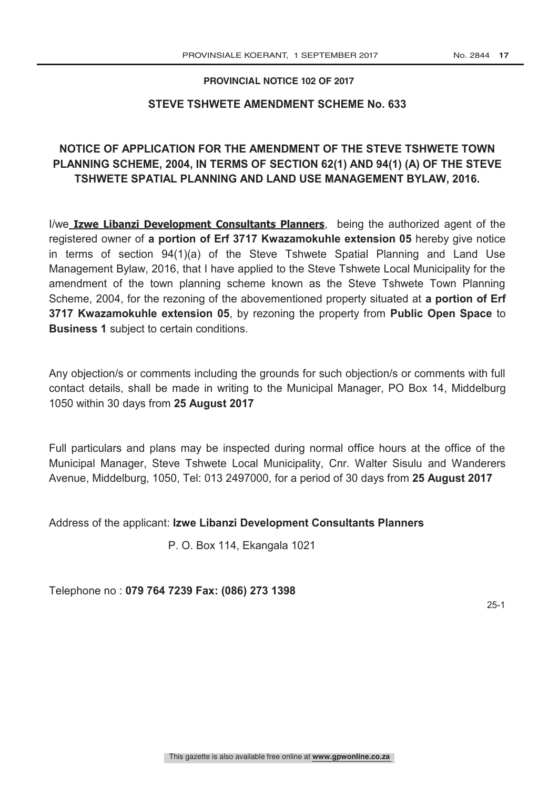# **PROVINCIAL NOTICE 102 OF 2017**

# **STEVE TSHWETE AMENDMENT SCHEME No. 633**

# **NOTICE OF APPLICATION FOR THE AMENDMENT OF THE STEVE TSHWETE TOWN PLANNING SCHEME, 2004, IN TERMS OF SECTION 62(1) AND 94(1) (A) OF THE STEVE TSHWETE SPATIAL PLANNING AND LAND USE MANAGEMENT BYLAW, 2016.**

I/we **Izwe Libanzi Development Consultants Planners**, being the authorized agent of the registered owner of **a portion of Erf 3717 Kwazamokuhle extension 05** hereby give notice in terms of section 94(1)(a) of the Steve Tshwete Spatial Planning and Land Use Management Bylaw, 2016, that I have applied to the Steve Tshwete Local Municipality for the amendment of the town planning scheme known as the Steve Tshwete Town Planning Scheme, 2004, for the rezoning of the abovementioned property situated at **a portion of Erf 3717 Kwazamokuhle extension 05**, by rezoning the property from **Public Open Space** to **Business 1** subject to certain conditions.

Any objection/s or comments including the grounds for such objection/s or comments with full contact details, shall be made in writing to the Municipal Manager, PO Box 14, Middelburg 1050 within 30 days from **25 August 2017**

Full particulars and plans may be inspected during normal office hours at the office of the Municipal Manager, Steve Tshwete Local Municipality, Cnr. Walter Sisulu and Wanderers Avenue, Middelburg, 1050, Tel: 013 2497000, for a period of 30 days from **25 August 2017**

Address of the applicant: **Izwe Libanzi Development Consultants Planners** 

P. O. Box 114, Ekangala 1021

Telephone no : **079 764 7239 Fax: (086) 273 1398**

25-1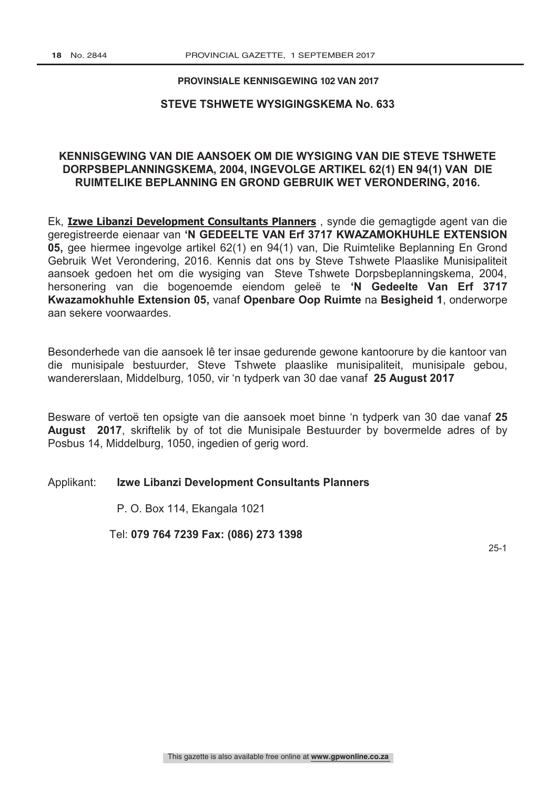#### **PROVINSIALE KENNISGEWING 102 VAN 2017**

# **STEVE TSHWETE WYSIGINGSKEMA No. 633**

# **KENNISGEWING VAN DIE AANSOEK OM DIE WYSIGING VAN DIE STEVE TSHWETE DORPSBEPLANNINGSKEMA, 2004, INGEVOLGE ARTIKEL 62(1) EN 94(1) VAN DIE RUIMTELIKE BEPLANNING EN GROND GEBRUIK WET VERONDERING, 2016.**

Ek, **Izwe Libanzi Development Consultants Planners** , synde die gemagtigde agent van die geregistreerde eienaar van **'N GEDEELTE VAN Erf 3717 KWAZAMOKHUHLE EXTENSION 05,** gee hiermee ingevolge artikel 62(1) en 94(1) van, Die Ruimtelike Beplanning En Grond Gebruik Wet Verondering, 2016. Kennis dat ons by Steve Tshwete Plaaslike Munisipaliteit aansoek gedoen het om die wysiging van Steve Tshwete Dorpsbeplanningskema, 2004, hersonering van die bogenoemde eiendom geleë te **'N Gedeelte Van Erf 3717 Kwazamokhuhle Extension 05,** vanaf **Openbare Oop Ruimte** na **Besigheid 1**, onderworpe aan sekere voorwaardes.

Besonderhede van die aansoek lê ter insae gedurende gewone kantoorure by die kantoor van die munisipale bestuurder, Steve Tshwete plaaslike munisipaliteit, munisipale gebou, wandererslaan, Middelburg, 1050, vir 'n tydperk van 30 dae vanaf **25 August 2017**

Besware of vertoë ten opsigte van die aansoek moet binne 'n tydperk van 30 dae vanaf **25 August 2017**, skriftelik by of tot die Munisipale Bestuurder by bovermelde adres of by Posbus 14, Middelburg, 1050, ingedien of gerig word.

# Applikant: **Izwe Libanzi Development Consultants Planners**

P. O. Box 114, Ekangala 1021

Tel: **079 764 7239 Fax: (086) 273 1398** 

25-1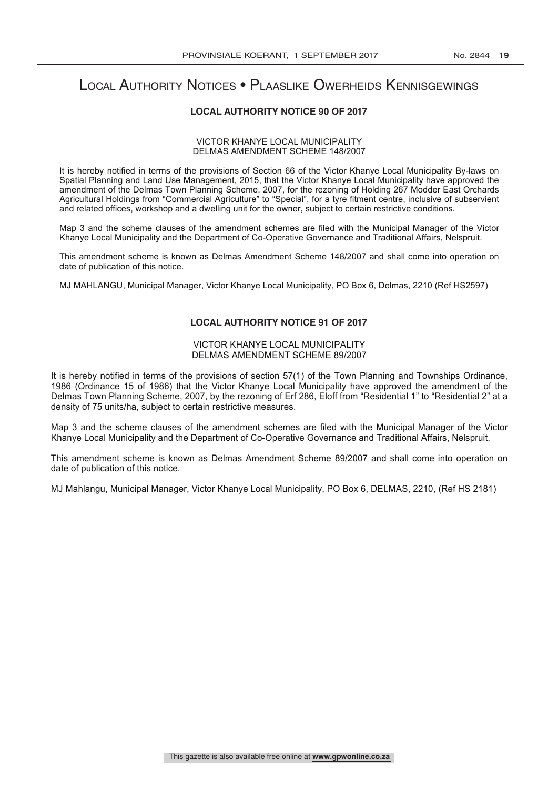# Local Authority Notices • Plaaslike Owerheids Kennisgewings

#### **LOCAL AUTHORITY NOTICE 90 OF 2017**

#### VICTOR KHANYE LOCAL MUNICIPALITY DELMAS AMENDMENT SCHEME 148/2007

It is hereby notified in terms of the provisions of Section 66 of the Victor Khanye Local Municipality By-laws on Spatial Planning and Land Use Management, 2015, that the Victor Khanye Local Municipality have approved the amendment of the Delmas Town Planning Scheme, 2007, for the rezoning of Holding 267 Modder East Orchards Agricultural Holdings from "Commercial Agriculture" to "Special", for a tyre fitment centre, inclusive of subservient and related offices, workshop and a dwelling unit for the owner, subject to certain restrictive conditions.

Map 3 and the scheme clauses of the amendment schemes are filed with the Municipal Manager of the Victor Khanye Local Municipality and the Department of Co-Operative Governance and Traditional Affairs, Nelspruit.

This amendment scheme is known as Delmas Amendment Scheme 148/2007 and shall come into operation on date of publication of this notice.

MJ MAHLANGU, Municipal Manager, Victor Khanye Local Municipality, PO Box 6, Delmas, 2210 (Ref HS2597)

#### **LOCAL AUTHORITY NOTICE 91 OF 2017**

#### VICTOR KHANYE LOCAL MUNICIPALITY DELMAS AMENDMENT SCHEME 89/2007

It is hereby notified in terms of the provisions of section 57(1) of the Town Planning and Townships Ordinance, 1986 (Ordinance 15 of 1986) that the Victor Khanye Local Municipality have approved the amendment of the Delmas Town Planning Scheme, 2007, by the rezoning of Erf 286, Eloff from "Residential 1" to "Residential 2" at a density of 75 units/ha, subject to certain restrictive measures.

Map 3 and the scheme clauses of the amendment schemes are filed with the Municipal Manager of the Victor Khanye Local Municipality and the Department of Co-Operative Governance and Traditional Affairs, Nelspruit.

This amendment scheme is known as Delmas Amendment Scheme 89/2007 and shall come into operation on date of publication of this notice.

MJ Mahlangu, Municipal Manager, Victor Khanye Local Municipality, PO Box 6, DELMAS, 2210, (Ref HS 2181)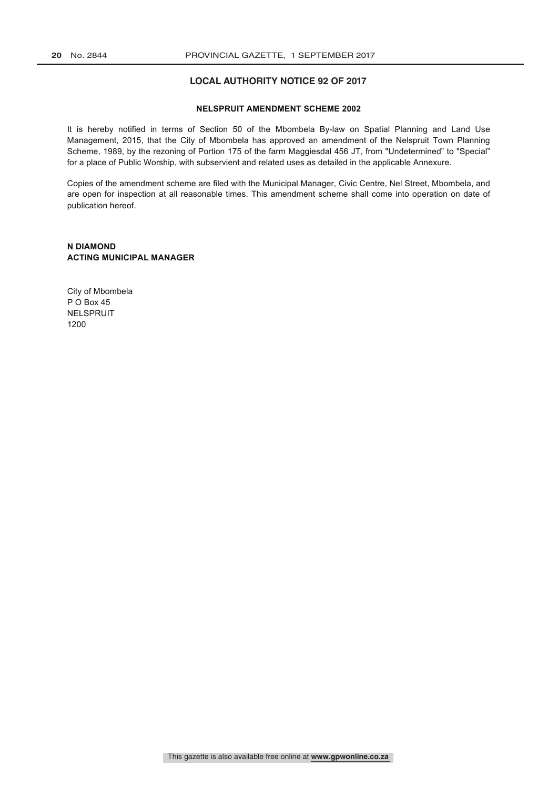#### **LOCAL AUTHORITY NOTICE 92 OF 2017**

#### **NELSPRUIT AMENDMENT SCHEME 2002**

It is hereby notified in terms of Section 50 of the Mbombela By-law on Spatial Planning and Land Use Management, 2015, that the City of Mbombela has approved an amendment of the Nelspruit Town Planning Scheme, 1989, by the rezoning of Portion 175 of the farm Maggiesdal 456 JT, from "Undetermined" to "Special" for a place of Public Worship, with subservient and related uses as detailed in the applicable Annexure.

Copies of the amendment scheme are filed with the Municipal Manager, Civic Centre, Nel Street, Mbombela, and are open for inspection at all reasonable times. This amendment scheme shall come into operation on date of publication hereof.

**N DIAMOND ACTING MUNICIPAL MANAGER**

City of Mbombela P O Box 45 NELSPRUIT 1200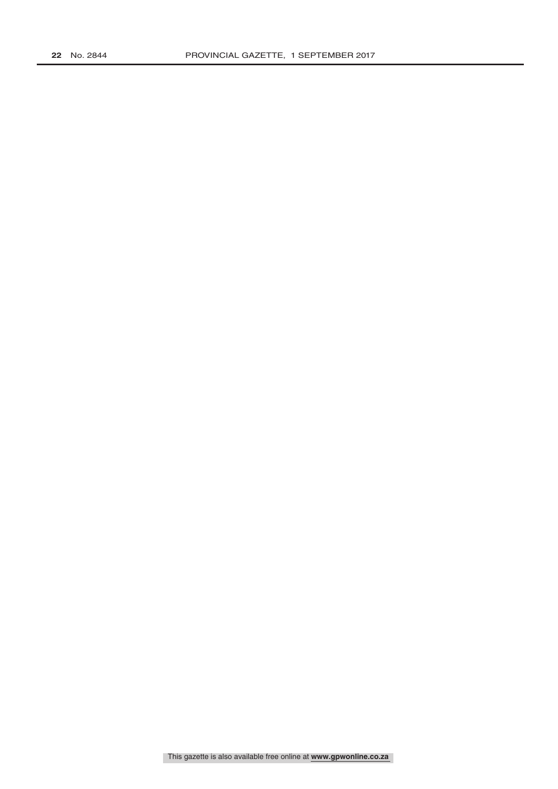This gazette is also available free online at **www.gpwonline.co.za**